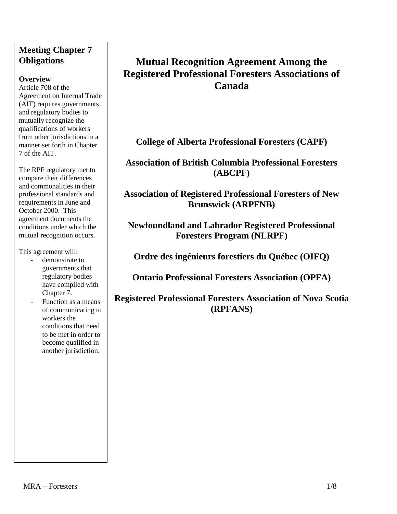# **Meeting Chapter 7 Obligations**

### **Overview**

Article 708 of the Agreement on Internal Trade (AIT) requires governments and regulatory bodies to mutually recognize the qualifications of workers from other jurisdictions in a manner set forth in Chapter 7 of the AIT.

The RPF regulatory met to compare their differences and commonalities in their professional standards and requirements in June and October 2000. This agreement documents the conditions under which the mutual recognition occurs.

This agreement will:

- demonstrate to governments that regulatory bodies have compiled with Chapter 7.
- Function as a means of communicating to workers the conditions that need to be met in order to become qualified in another jurisdiction.

# **Mutual Recognition Agreement Among the Registered Professional Foresters Associations of Canada**

**College of Alberta Professional Foresters (CAPF)**

**Association of British Columbia Professional Foresters (ABCPF)**

**Association of Registered Professional Foresters of New Brunswick (ARPFNB)**

**Newfoundland and Labrador Registered Professional Foresters Program (NLRPF)**

**Ordre des ingénieurs forestiers du Québec (OIFQ)** 

**Ontario Professional Foresters Association (OPFA)** 

**Registered Professional Foresters Association of Nova Scotia (RPFANS)**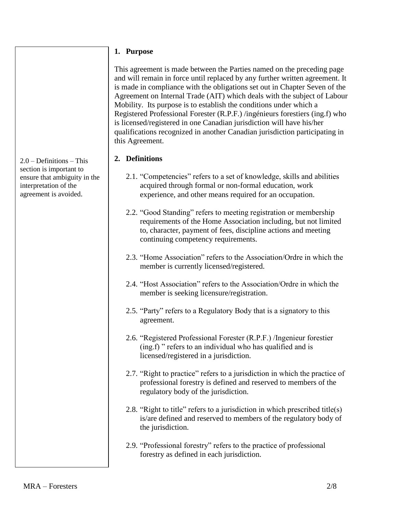### **1. Purpose**

This agreement is made between the Parties named on the preceding page and will remain in force until replaced by any further written agreement. It is made in compliance with the obligations set out in Chapter Seven of the Agreement on Internal Trade (AIT) which deals with the subject of Labour Mobility. Its purpose is to establish the conditions under which a Registered Professional Forester (R.P.F.) /ingénieurs forestiers (ing.f) who is licensed/registered in one Canadian jurisdiction will have his/her qualifications recognized in another Canadian jurisdiction participating in this Agreement.

# **2. Definitions**

- 2.1. "Competencies" refers to a set of knowledge, skills and abilities acquired through formal or non-formal education, work experience, and other means required for an occupation.
- 2.2. "Good Standing" refers to meeting registration or membership requirements of the Home Association including, but not limited to, character, payment of fees, discipline actions and meeting continuing competency requirements.
- 2.3. "Home Association" refers to the Association/Ordre in which the member is currently licensed/registered.
- 2.4. "Host Association" refers to the Association/Ordre in which the member is seeking licensure/registration.
- 2.5. "Party" refers to a Regulatory Body that is a signatory to this agreement.
- 2.6. "Registered Professional Forester (R.P.F.) /Ingenieur forestier (ing.f) " refers to an individual who has qualified and is licensed/registered in a jurisdiction.
- 2.7. "Right to practice" refers to a jurisdiction in which the practice of professional forestry is defined and reserved to members of the regulatory body of the jurisdiction.
- 2.8. "Right to title" refers to a jurisdiction in which prescribed title(s) is/are defined and reserved to members of the regulatory body of the jurisdiction.
- 2.9. "Professional forestry" refers to the practice of professional forestry as defined in each jurisdiction.

2.0 – Definitions – This section is important to ensure that ambiguity in the interpretation of the agreement is avoided.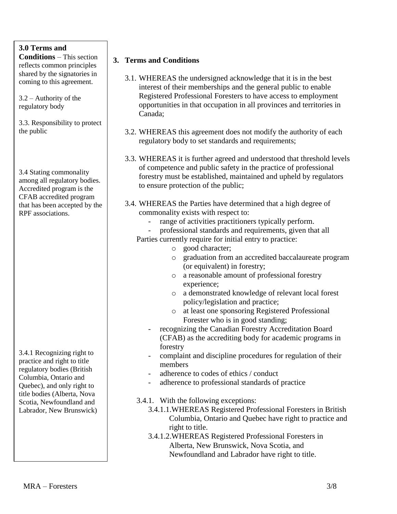# **3.0 Terms and**

**Conditions** – This section reflects common principles shared by the signatories in coming to this agreement.

3.2 – Authority of the regulatory body

3.3. Responsibility to protect the public

3.4 Stating commonality among all regulatory bodies. Accredited program is the CFAB accredited program that has been accepted by the RPF associations.

3.4.1 Recognizing right to practice and right to title regulatory bodies (British Columbia, Ontario and Quebec), and only right to title bodies (Alberta, Nova Scotia, Newfoundland and Labrador, New Brunswick)

### **3. Terms and Conditions**

- 3.1. WHEREAS the undersigned acknowledge that it is in the best interest of their memberships and the general public to enable Registered Professional Foresters to have access to employment opportunities in that occupation in all provinces and territories in Canada;
- 3.2. WHEREAS this agreement does not modify the authority of each regulatory body to set standards and requirements;
- 3.3. WHEREAS it is further agreed and understood that threshold levels of competence and public safety in the practice of professional forestry must be established, maintained and upheld by regulators to ensure protection of the public;
- 3.4. WHEREAS the Parties have determined that a high degree of commonality exists with respect to:
	- range of activities practitioners typically perform.
	- professional standards and requirements, given that all
	- Parties currently require for initial entry to practice:
		- o good character;
		- o graduation from an accredited baccalaureate program (or equivalent) in forestry;
		- o a reasonable amount of professional forestry experience;
		- o a demonstrated knowledge of relevant local forest policy/legislation and practice;
		- o at least one sponsoring Registered Professional Forester who is in good standing;
		- recognizing the Canadian Forestry Accreditation Board (CFAB) as the accrediting body for academic programs in forestry
		- complaint and discipline procedures for regulation of their members
		- adherence to codes of ethics / conduct
		- adherence to professional standards of practice
	- 3.4.1. With the following exceptions:
		- 3.4.1.1.WHEREAS Registered Professional Foresters in British Columbia, Ontario and Quebec have right to practice and right to title.
		- 3.4.1.2.WHEREAS Registered Professional Foresters in Alberta, New Brunswick, Nova Scotia, and Newfoundland and Labrador have right to title.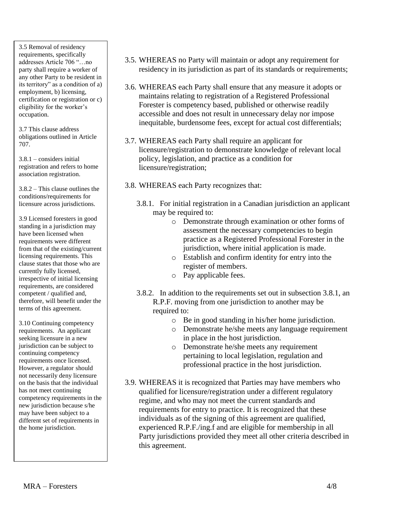3.5 Removal of residency requirements, specifically addresses Article 706 "…no party shall require a worker of any other Party to be resident in its territory" as a condition of a) employment, b) licensing, certification or registration or c) eligibility for the worker's occupation.

3.7 This clause address obligations outlined in Article 707.

3.8.1 – considers initial registration and refers to home association registration.

3.8.2 – This clause outlines the conditions/requirements for licensure across jurisdictions.

3.9 Licensed foresters in good standing in a jurisdiction may have been licensed when requirements were different from that of the existing/current licensing requirements. This clause states that those who are currently fully licensed, irrespective of initial licensing requirements, are considered competent / qualified and, therefore, will benefit under the terms of this agreement.

3.10 Continuing competency requirements. An applicant seeking licensure in a new jurisdiction can be subject to continuing competency requirements once licensed. However, a regulator should not necessarily deny licensure on the basis that the individual has not meet continuing competency requirements in the new jurisdiction because s/he may have been subject to a different set of requirements in the home jurisdiction.

- 3.5. WHEREAS no Party will maintain or adopt any requirement for residency in its jurisdiction as part of its standards or requirements;
- 3.6. WHEREAS each Party shall ensure that any measure it adopts or maintains relating to registration of a Registered Professional Forester is competency based, published or otherwise readily accessible and does not result in unnecessary delay nor impose inequitable, burdensome fees, except for actual cost differentials;
- 3.7. WHEREAS each Party shall require an applicant for licensure/registration to demonstrate knowledge of relevant local policy, legislation, and practice as a condition for licensure/registration;
- 3.8. WHEREAS each Party recognizes that:
	- 3.8.1. For initial registration in a Canadian jurisdiction an applicant may be required to:
		- o Demonstrate through examination or other forms of assessment the necessary competencies to begin practice as a Registered Professional Forester in the jurisdiction, where initial application is made.
		- o Establish and confirm identity for entry into the register of members.
		- o Pay applicable fees.
	- 3.8.2. In addition to the requirements set out in subsection 3.8.1, an R.P.F. moving from one jurisdiction to another may be required to:
		- o Be in good standing in his/her home jurisdiction.
		- o Demonstrate he/she meets any language requirement in place in the host jurisdiction.
		- o Demonstrate he/she meets any requirement pertaining to local legislation, regulation and professional practice in the host jurisdiction.
- 3.9. WHEREAS it is recognized that Parties may have members who qualified for licensure/registration under a different regulatory regime, and who may not meet the current standards and requirements for entry to practice. It is recognized that these individuals as of the signing of this agreement are qualified, experienced R.P.F./ing.f and are eligible for membership in all Party jurisdictions provided they meet all other criteria described in this agreement.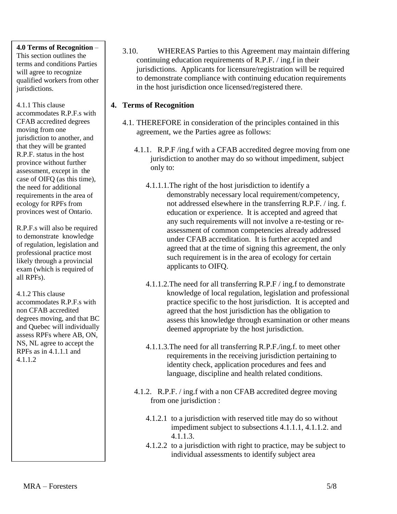#### **4.0 Terms of Recognition** –

This section outlines the terms and conditions Parties will agree to recognize qualified workers from other jurisdictions.

4.1.1 This clause accommodates R.P.F.s with CFAB accredited degrees moving from one jurisdiction to another, and that they will be granted R.P.F. status in the host province without further assessment, except in the case of OIFQ (as this time), the need for additional requirements in the area of ecology for RPFs from provinces west of Ontario.

R.P.F.s will also be required to demonstrate knowledge of regulation, legislation and professional practice most likely through a provincial exam (which is required of all RPFs).

4.1.2 This clause

accommodates R.P.F.s with non CFAB accredited degrees moving, and that BC and Quebec will individually assess RPFs where AB, ON, NS, NL agree to accept the RPFs as in 4.1.1.1 and 4.1.1.2

3.10. WHEREAS Parties to this Agreement may maintain differing continuing education requirements of R.P.F. / ing.f in their jurisdictions. Applicants for licensure/registration will be required to demonstrate compliance with continuing education requirements in the host jurisdiction once licensed/registered there.

## **4. Terms of Recognition**

- 4.1. THEREFORE in consideration of the principles contained in this agreement, we the Parties agree as follows:
	- 4.1.1. R.P.F /ing.f with a CFAB accredited degree moving from one jurisdiction to another may do so without impediment, subject only to:
		- 4.1.1.1.The right of the host jurisdiction to identify a demonstrably necessary local requirement/competency, not addressed elsewhere in the transferring R.P.F. / ing. f. education or experience. It is accepted and agreed that any such requirements will not involve a re-testing or reassessment of common competencies already addressed under CFAB accreditation. It is further accepted and agreed that at the time of signing this agreement, the only such requirement is in the area of ecology for certain applicants to OIFQ.
		- 4.1.1.2.The need for all transferring R.P.F / ing.f to demonstrate knowledge of local regulation, legislation and professional practice specific to the host jurisdiction. It is accepted and agreed that the host jurisdiction has the obligation to assess this knowledge through examination or other means deemed appropriate by the host jurisdiction.
		- 4.1.1.3.The need for all transferring R.P.F./ing.f. to meet other requirements in the receiving jurisdiction pertaining to identity check, application procedures and fees and language, discipline and health related conditions.
	- 4.1.2. R.P.F. / ing.f with a non CFAB accredited degree moving from one jurisdiction :
		- 4.1.2.1 to a jurisdiction with reserved title may do so without impediment subject to subsections 4.1.1.1, 4.1.1.2. and 4.1.1.3.
		- 4.1.2.2 to a jurisdiction with right to practice, may be subject to individual assessments to identify subject area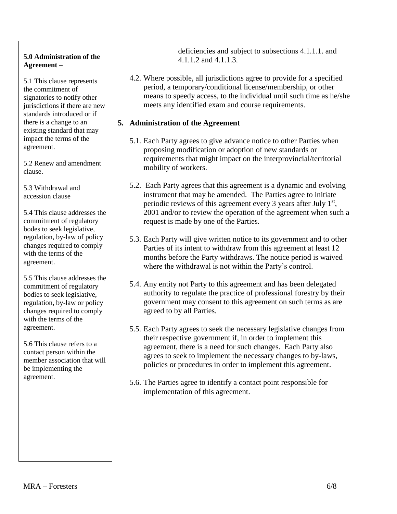### **5.0 Administration of the Agreement –**

5.1 This clause represents the commitment of signatories to notify other jurisdictions if there are new standards introduced or if there is a change to an existing standard that may impact the terms of the agreement.

5.2 Renew and amendment clause.

5.3 Withdrawal and accession clause

5.4 This clause addresses the commitment of regulatory bodes to seek legislative, regulation, by-law of policy changes required to comply with the terms of the agreement.

5.5 This clause addresses the commitment of regulatory bodies to seek legislative, regulation, by-law or policy changes required to comply with the terms of the agreement.

5.6 This clause refers to a contact person within the member association that will be implementing the agreement.

deficiencies and subject to subsections 4.1.1.1. and 4.1.1.2 and 4.1.1.3.

4.2. Where possible, all jurisdictions agree to provide for a specified period, a temporary/conditional license/membership, or other means to speedy access, to the individual until such time as he/she meets any identified exam and course requirements.

# **5. Administration of the Agreement**

- 5.1. Each Party agrees to give advance notice to other Parties when proposing modification or adoption of new standards or requirements that might impact on the interprovincial/territorial mobility of workers.
- 5.2. Each Party agrees that this agreement is a dynamic and evolving instrument that may be amended. The Parties agree to initiate periodic reviews of this agreement every 3 years after July  $1<sup>st</sup>$ , 2001 and/or to review the operation of the agreement when such a request is made by one of the Parties.
- 5.3. Each Party will give written notice to its government and to other Parties of its intent to withdraw from this agreement at least 12 months before the Party withdraws. The notice period is waived where the withdrawal is not within the Party's control.
- 5.4. Any entity not Party to this agreement and has been delegated authority to regulate the practice of professional forestry by their government may consent to this agreement on such terms as are agreed to by all Parties.
- 5.5. Each Party agrees to seek the necessary legislative changes from their respective government if, in order to implement this agreement, there is a need for such changes. Each Party also agrees to seek to implement the necessary changes to by-laws, policies or procedures in order to implement this agreement.
- 5.6. The Parties agree to identify a contact point responsible for implementation of this agreement.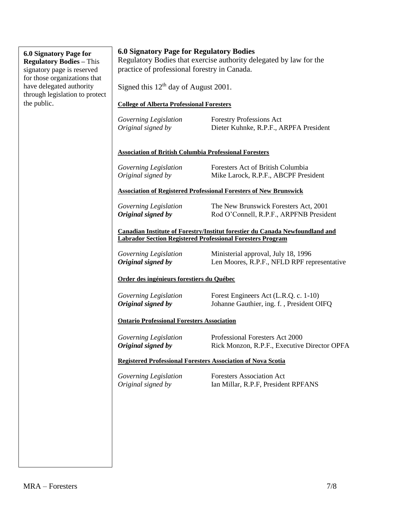#### **6.0 Signatory Page for Regulatory Bodies –** This signatory page is reserved for those organizations that have delegated authority through legislation to protect the public.

### **6.0 Signatory Page for Regulatory Bodies**

Regulatory Bodies that exercise authority delegated by law for the practice of professional forestry in Canada.

Signed this  $12<sup>th</sup>$  day of August 2001.

#### **College of Alberta Professional Foresters**

| Governing Legislation | <b>Forestry Professions Act</b>        |
|-----------------------|----------------------------------------|
| Original signed by    | Dieter Kuhnke, R.P.F., ARPFA President |

#### **Association of British Columbia Professional Foresters**

| Governing Legislation | Foresters Act of British Columbia    |
|-----------------------|--------------------------------------|
| Original signed by    | Mike Larock, R.P.F., ABCPF President |

#### **Association of Registered Professional Foresters of New Brunswick**

*Governing Legislation* The New Brunswick Foresters Act, 2001 *Original signed by* Rod O'Connell, R.P.F., ARPFNB President

#### **Canadian Institute of Forestry/Institut forestier du Canada Newfoundland and Labrador Section Registered Professional Foresters Program**

*Governing Legislation* Ministerial approval, July 18, 1996 *Original signed by* Len Moores, R.P.F., NFLD RPF representative

### **Order des ingénieurs forestiers du Québec**

*Governing Legislation* Forest Engineers Act (L.R.Q. c. 1-10) *Original signed by* Johanne Gauthier, ing. f. , President OIFQ

#### **Ontario Professional Foresters Association**

*Governing Legislation* Professional Foresters Act 2000 *Original signed by* Rick Monzon, R.P.F., Executive Director OPFA

### **Registered Professional Foresters Association of Nova Scotia**

*Governing Legislation* Foresters Association Act *Original signed by* Ian Millar, R.P.F, President RPFANS